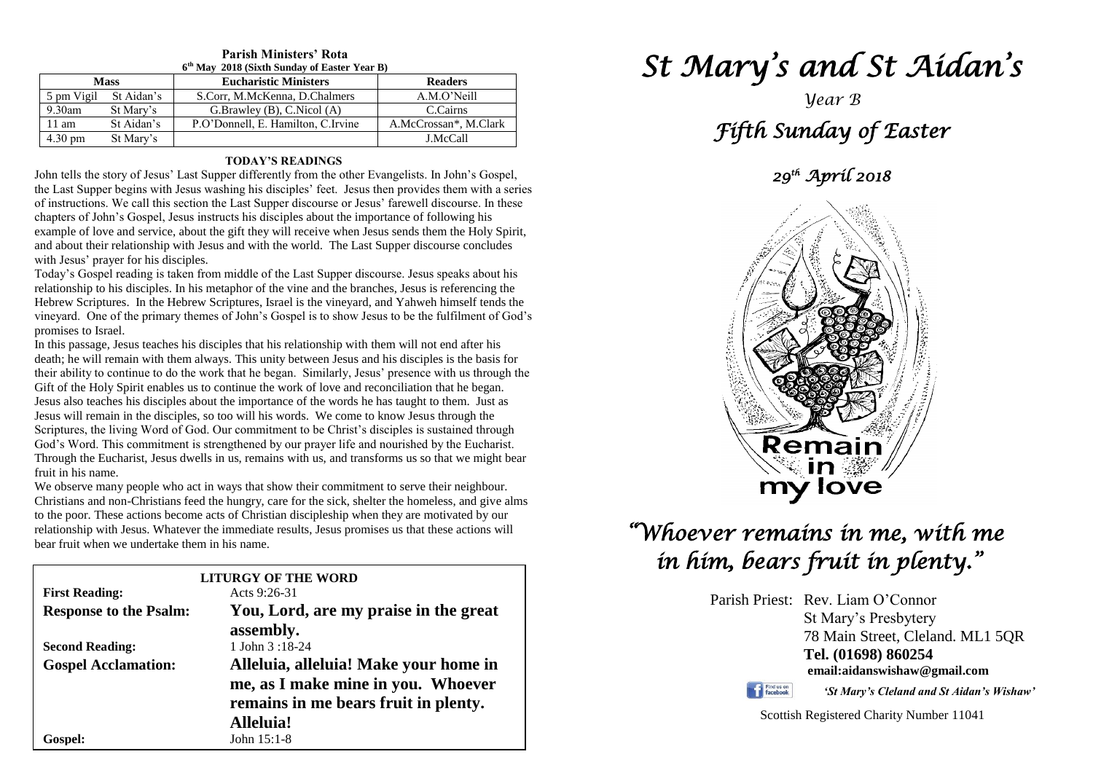| 6 <sup>th</sup> May 2018 (Sixth Sunday of Easter Year B) |            |                                    |                       |  |  |  |
|----------------------------------------------------------|------------|------------------------------------|-----------------------|--|--|--|
| <b>Mass</b>                                              |            | <b>Eucharistic Ministers</b>       | <b>Readers</b>        |  |  |  |
| 5 pm Vigil                                               | St Aidan's | S.Corr, M.McKenna, D.Chalmers      | A.M.O'Neill           |  |  |  |
| $9.30$ am                                                | St Mary's  | G.Brawley (B), C.Nicol (A)         | C.Cairns              |  |  |  |
| $11 \text{ am}$                                          | St Aidan's | P.O'Donnell, E. Hamilton, C.Irvine | A.McCrossan*, M.Clark |  |  |  |
| 4.30 pm                                                  | St Mary's  |                                    | J.McCall              |  |  |  |

# **Parish Ministers' Rota**

#### **TODAY'S READINGS**

John tells the story of Jesus' Last Supper differently from the other Evangelists. In John's Gospel, the Last Supper begins with Jesus washing his disciples' feet. Jesus then provides them with a series of instructions. We call this section the Last Supper discourse or Jesus' farewell discourse. In these chapters of John's Gospel, Jesus instructs his disciples about the importance of following his example of love and service, about the gift they will receive when Jesus sends them the Holy Spirit, and about their relationship with Jesus and with the world. The Last Supper discourse concludes with Jesus' prayer for his disciples.

Today's Gospel reading is taken from middle of the Last Supper discourse. Jesus speaks about his relationship to his disciples. In his metaphor of the vine and the branches, Jesus is referencing the Hebrew Scriptures. In the Hebrew Scriptures, Israel is the vineyard, and Yahweh himself tends the vineyard. One of the primary themes of John's Gospel is to show Jesus to be the fulfilment of God's promises to Israel.

**Jesus also teaches his disciples about the importance of the words he has taught to them. Just** Jesus will remain in the disciples, so too will his words. We come to know Jesus through the Scriptures, the living Word of G God's Word. This commitment is strengthened by our prayer life and nourished by the Eucharist.<br>Through the Eucharist, Jesus dwells in us, remains with us, and transforms us so that we might bear<br>fruit in his name In this passage, Jesus teaches his disciples that his relationship with them will not end after his death; he will remain with them always. This unity between Jesus and his disciples is the basis for their ability to continue to do the work that he began. Similarly, Jesus' presence with us through the Gift of the Holy Spirit enables us to continue the work of love and reconciliation that he began. Jesus also teaches his disciples about the importance of the words he has taught to them. Just as Scriptures, the living Word of God. Our commitment to be Christ's disciples is sustained through God's Word. This commitment is strengthened by our prayer life and nourished by the Eucharist. fruit in his name.

we observe many people who act in ways that show their commitment to serve their neighbour.<br>Christians and non-Christians feed the hungry, care for the sick, shelter the homeless, and give alms<br>to the poor. These actions b relationship with Jesus. Whatever the immediate results, Jesus promises us that these actions will<br>bear fruit when we undertake them in his name. We observe many people who act in ways that show their commitment to serve their neighbour. to the poor. These actions become acts of Christian discipleship when they are motivated by our bear fruit when we undertake them in his name.

|                               | <b>LITURGY OF THE WORD</b>            |  |
|-------------------------------|---------------------------------------|--|
| <b>First Reading:</b>         | Acts $9:26-31$                        |  |
| <b>Response to the Psalm:</b> | You, Lord, are my praise in the great |  |
|                               | assembly.                             |  |
| <b>Second Reading:</b>        | 1 John $3:18-24$                      |  |
| <b>Gospel Acclamation:</b>    | Alleluia, alleluia! Make your home in |  |
|                               | me, as I make mine in you. Whoever    |  |
|                               | remains in me bears fruit in plenty.  |  |
|                               | <b>Alleluia!</b>                      |  |
| <b>Gospel:</b>                | John $15:1-8$                         |  |

# *St Mary's and St Aidan's*

# *Year B Fifth Sunday of Easter*

# *29th April 2018*



# *"Whoever remains in me, with me in him, bears fruit in plenty."*

Parish Priest: Rev. Liam O'Connor St Mary's Presbytery 78 Main Street, Cleland. ML1 5QR **Tel. (01698) 860254 email:aidanswishaw@gmail.com**

Find us on

*'St Mary's Cleland and St Aidan's Wishaw'*

Scottish Registered Charity Number 11041